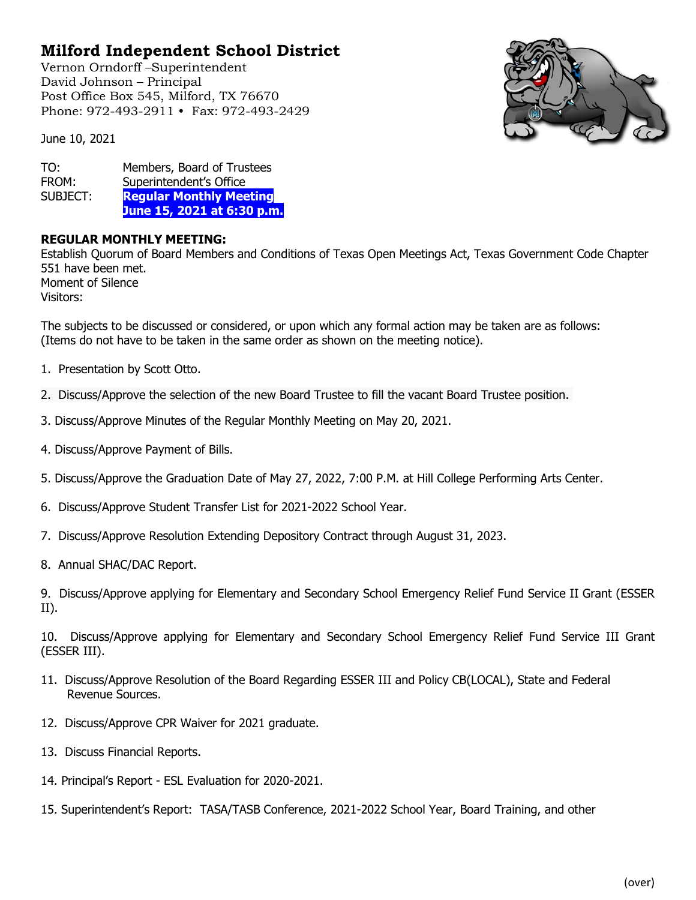## **Milford Independent School District**

Vernon Orndorff –Superintendent David Johnson – Principal Post Office Box 545, Milford, TX 76670 Phone: 972-493-2911 • Fax: 972-493-2429



June 10, 2021

TO: Members, Board of Trustees<br>FROM: Superintendent's Office FROM: Superintendent's Office<br>SUBJECT: Regular Monthly Mee **Regular Monthly Meeting June 15, 2021 at 6:30 p.m.**

## **REGULAR MONTHLY MEETING:**

Establish Quorum of Board Members and Conditions of Texas Open Meetings Act, Texas Government Code Chapter 551 have been met. Moment of Silence Visitors:

The subjects to be discussed or considered, or upon which any formal action may be taken are as follows: (Items do not have to be taken in the same order as shown on the meeting notice).

- 1. Presentation by Scott Otto.
- 2. Discuss/Approve the selection of the new Board Trustee to fill the vacant Board Trustee position.
- 3. Discuss/Approve Minutes of the Regular Monthly Meeting on May 20, 2021.
- 4. Discuss/Approve Payment of Bills.
- 5. Discuss/Approve the Graduation Date of May 27, 2022, 7:00 P.M. at Hill College Performing Arts Center.
- 6. Discuss/Approve Student Transfer List for 2021-2022 School Year.
- 7. Discuss/Approve Resolution Extending Depository Contract through August 31, 2023.
- 8. Annual SHAC/DAC Report.

9. Discuss/Approve applying for Elementary and Secondary School Emergency Relief Fund Service II Grant (ESSER II).

10. Discuss/Approve applying for Elementary and Secondary School Emergency Relief Fund Service III Grant (ESSER III).

- 11. Discuss/Approve Resolution of the Board Regarding ESSER III and Policy CB(LOCAL), State and Federal Revenue Sources.
- 12. Discuss/Approve CPR Waiver for 2021 graduate.
- 13. Discuss Financial Reports.
- 14. Principal's Report ESL Evaluation for 2020-2021.
- 15. Superintendent's Report: TASA/TASB Conference, 2021-2022 School Year, Board Training, and other